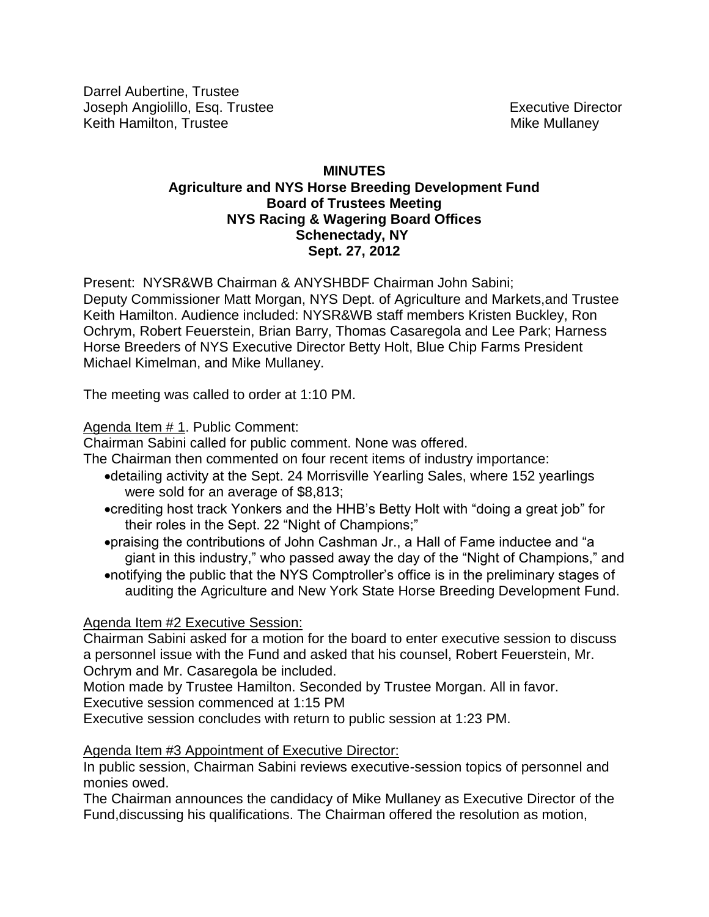Darrel Aubertine, Trustee Joseph Angiolillo, Esq. Trustee **Executive Director** Executive Director Keith Hamilton, Trustee Mike Mullaney

## **MINUTES Agriculture and NYS Horse Breeding Development Fund Board of Trustees Meeting NYS Racing & Wagering Board Offices Schenectady, NY Sept. 27, 2012**

Present: NYSR&WB Chairman & ANYSHBDF Chairman John Sabini; Deputy Commissioner Matt Morgan, NYS Dept. of Agriculture and Markets,and Trustee Keith Hamilton. Audience included: NYSR&WB staff members Kristen Buckley, Ron Ochrym, Robert Feuerstein, Brian Barry, Thomas Casaregola and Lee Park; Harness Horse Breeders of NYS Executive Director Betty Holt, Blue Chip Farms President Michael Kimelman, and Mike Mullaney.

The meeting was called to order at 1:10 PM.

# Agenda Item # 1. Public Comment:

Chairman Sabini called for public comment. None was offered.

The Chairman then commented on four recent items of industry importance:

- detailing activity at the Sept. 24 Morrisville Yearling Sales, where 152 yearlings were sold for an average of \$8,813;
- crediting host track Yonkers and the HHB's Betty Holt with "doing a great job" for their roles in the Sept. 22 "Night of Champions;"
- praising the contributions of John Cashman Jr., a Hall of Fame inductee and "a giant in this industry," who passed away the day of the "Night of Champions," and
- notifying the public that the NYS Comptroller's office is in the preliminary stages of auditing the Agriculture and New York State Horse Breeding Development Fund.

# Agenda Item #2 Executive Session:

Chairman Sabini asked for a motion for the board to enter executive session to discuss a personnel issue with the Fund and asked that his counsel, Robert Feuerstein, Mr. Ochrym and Mr. Casaregola be included.

Motion made by Trustee Hamilton. Seconded by Trustee Morgan. All in favor. Executive session commenced at 1:15 PM

Executive session concludes with return to public session at 1:23 PM.

## Agenda Item #3 Appointment of Executive Director:

In public session, Chairman Sabini reviews executive-session topics of personnel and monies owed.

The Chairman announces the candidacy of Mike Mullaney as Executive Director of the Fund,discussing his qualifications. The Chairman offered the resolution as motion,